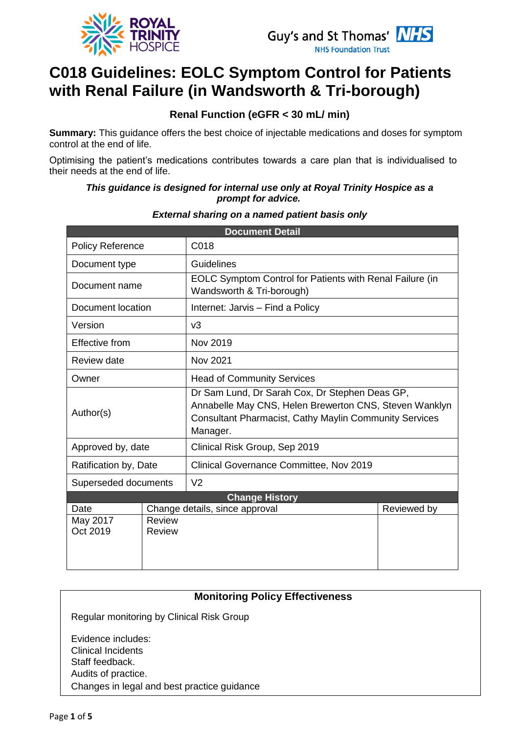



# **C018 Guidelines: EOLC Symptom Control for Patients with Renal Failure (in Wandsworth & Tri-borough)**

### **Renal Function (eGFR < 30 mL/ min)**

**Summary:** This guidance offers the best choice of injectable medications and doses for symptom control at the end of life.

Optimising the patient's medications contributes towards a care plan that is individualised to their needs at the end of life.

#### *This guidance is designed for internal use only at Royal Trinity Hospice as a prompt for advice.*

| <b>Document Detail</b>  |               |                                                                                                                                                                                       |             |
|-------------------------|---------------|---------------------------------------------------------------------------------------------------------------------------------------------------------------------------------------|-------------|
| <b>Policy Reference</b> |               | C018                                                                                                                                                                                  |             |
| Document type           |               | Guidelines                                                                                                                                                                            |             |
| Document name           |               | EOLC Symptom Control for Patients with Renal Failure (in<br>Wandsworth & Tri-borough)                                                                                                 |             |
| Document location       |               | Internet: Jarvis - Find a Policy                                                                                                                                                      |             |
| Version                 |               | v3                                                                                                                                                                                    |             |
| <b>Effective from</b>   |               | Nov 2019                                                                                                                                                                              |             |
| Review date             |               | Nov 2021                                                                                                                                                                              |             |
| Owner                   |               | <b>Head of Community Services</b>                                                                                                                                                     |             |
| Author(s)               |               | Dr Sam Lund, Dr Sarah Cox, Dr Stephen Deas GP,<br>Annabelle May CNS, Helen Brewerton CNS, Steven Wanklyn<br><b>Consultant Pharmacist, Cathy Maylin Community Services</b><br>Manager. |             |
| Approved by, date       |               | Clinical Risk Group, Sep 2019                                                                                                                                                         |             |
| Ratification by, Date   |               | Clinical Governance Committee, Nov 2019                                                                                                                                               |             |
| Superseded documents    |               | V <sub>2</sub>                                                                                                                                                                        |             |
| <b>Change History</b>   |               |                                                                                                                                                                                       |             |
| Date                    |               | Change details, since approval                                                                                                                                                        | Reviewed by |
| May 2017                | <b>Review</b> |                                                                                                                                                                                       |             |
| Oct 2019                | Review        |                                                                                                                                                                                       |             |
|                         |               |                                                                                                                                                                                       |             |

#### *External sharing on a named patient basis only*

#### **Monitoring Policy Effectiveness**

Regular monitoring by Clinical Risk Group

Evidence includes: • Clinical Incidents Staff feedback. • Audits of practice. • Changes in legal and best practice guidance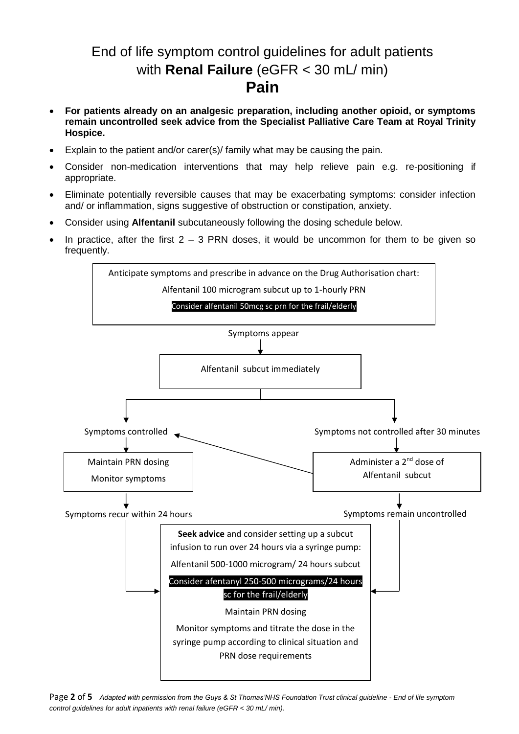## End of life symptom control guidelines for adult patients with **Renal Failure** (eGFR < 30 mL/ min) **Pain**

- **For patients already on an analgesic preparation, including another opioid, or symptoms remain uncontrolled seek advice from the Specialist Palliative Care Team at Royal Trinity Hospice.**
- Explain to the patient and/or carer(s)/ family what may be causing the pain.
- Consider non-medication interventions that may help relieve pain e.g. re-positioning if appropriate.
- Eliminate potentially reversible causes that may be exacerbating symptoms: consider infection and/ or inflammation, signs suggestive of obstruction or constipation, anxiety.
- Consider using **Alfentanil** subcutaneously following the dosing schedule below.
- In practice, after the first  $2 3$  PRN doses, it would be uncommon for them to be given so frequently.



Page **2** of **5** *Adapted with permission from the Guys & St Thomas'NHS Foundation Trust clinical guideline - End of life symptom control guidelines for adult inpatients with renal failure (eGFR < 30 mL/ min).*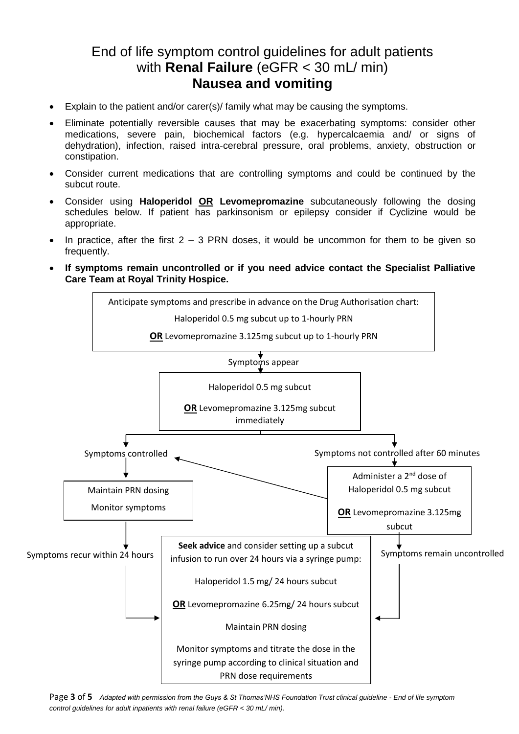## End of life symptom control guidelines for adult patients with **Renal Failure** (eGFR < 30 mL/ min) **Nausea and vomiting**

- Explain to the patient and/or carer(s)/ family what may be causing the symptoms.
- Eliminate potentially reversible causes that may be exacerbating symptoms: consider other medications, severe pain, biochemical factors (e.g. hypercalcaemia and/ or signs of dehydration), infection, raised intra-cerebral pressure, oral problems, anxiety, obstruction or constipation.
- Consider current medications that are controlling symptoms and could be continued by the subcut route.
- Consider using **Haloperidol OR Levomepromazine** subcutaneously following the dosing schedules below. If patient has parkinsonism or epilepsy consider if Cyclizine would be appropriate.
- In practice, after the first  $2 3$  PRN doses, it would be uncommon for them to be given so frequently.
- **If symptoms remain uncontrolled or if you need advice contact the Specialist Palliative Care Team at Royal Trinity Hospice.**



Page **3** of **5** *Adapted with permission from the Guys & St Thomas'NHS Foundation Trust clinical guideline - End of life symptom control guidelines for adult inpatients with renal failure (eGFR < 30 mL/ min).*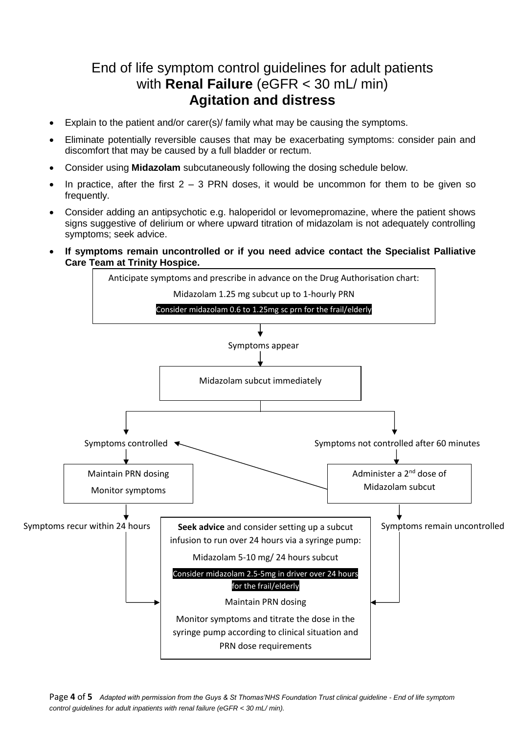## End of life symptom control guidelines for adult patients with **Renal Failure** (eGFR < 30 mL/ min) **Agitation and distress**

- Explain to the patient and/or carer(s)/ family what may be causing the symptoms.
- Eliminate potentially reversible causes that may be exacerbating symptoms: consider pain and discomfort that may be caused by a full bladder or rectum.
- Consider using **Midazolam** subcutaneously following the dosing schedule below.
- In practice, after the first  $2 3$  PRN doses, it would be uncommon for them to be given so frequently.
- Consider adding an antipsychotic e.g. haloperidol or levomepromazine, where the patient shows signs suggestive of delirium or where upward titration of midazolam is not adequately controlling symptoms; seek advice.
- **If symptoms remain uncontrolled or if you need advice contact the Specialist Palliative Care Team at Trinity Hospice.**



Page **4** of **5** *Adapted with permission from the Guys & St Thomas'NHS Foundation Trust clinical guideline - End of life symptom control guidelines for adult inpatients with renal failure (eGFR < 30 mL/ min).*